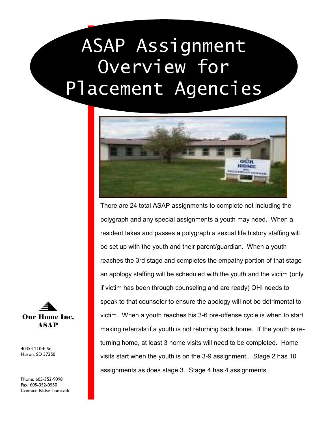# ASAP Assignment Overview for Placement Agencies



There are 24 total ASAP assignments to complete not including the polygraph and any special assignments a youth may need. When a resident takes and passes a polygraph a sexual life history staffing will be set up with the youth and their parent/guardian. When a youth reaches the 3rd stage and completes the empathy portion of that stage an apology staffing will be scheduled with the youth and the victim (only if victim has been through counseling and are ready) OHI needs to speak to that counselor to ensure the apology will not be detrimental to victim. When a youth reaches his 3-6 pre-offense cycle is when to start making referrals if a youth is not returning back home. If the youth is returning home, at least 3 home visits will need to be completed. Home visits start when the youth is on the 3-9 assignment.. Stage 2 has 10 assignments as does stage 3. Stage 4 has 4 assignments.



40354 210th St Huron, SD 57350

Phone: 605-352-9098 Fax: 605-352-0550 Contact: Blaise Tomczak